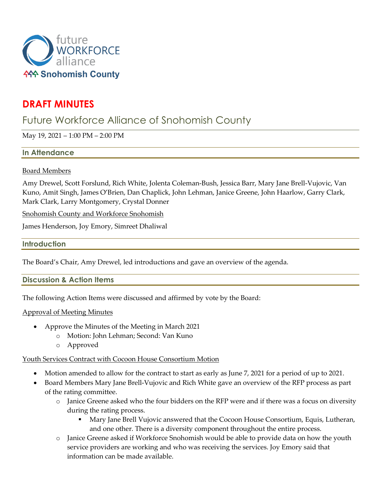

# **DRAFT MINUTES**

# Future Workforce Alliance of Snohomish County

May 19, 2021 – 1:00 PM – 2:00 PM

### **In Attendance**

### Board Members

Amy Drewel, Scott Forslund, Rich White, Jolenta Coleman-Bush, Jessica Barr, Mary Jane Brell-Vujovic, Van Kuno, Amit Singh, James O'Brien, Dan Chaplick, John Lehman, Janice Greene, John Haarlow, Garry Clark, Mark Clark, Larry Montgomery, Crystal Donner

Snohomish County and Workforce Snohomish

James Henderson, Joy Emory, Simreet Dhaliwal

## **Introduction**

The Board's Chair, Amy Drewel, led introductions and gave an overview of the agenda.

### **Discussion & Action Items**

The following Action Items were discussed and affirmed by vote by the Board:

### Approval of Meeting Minutes

- Approve the Minutes of the Meeting in March 2021
	- o Motion: John Lehman; Second: Van Kuno
	- o Approved

### Youth Services Contract with Cocoon House Consortium Motion

- Motion amended to allow for the contract to start as early as June 7, 2021 for a period of up to 2021.
- Board Members Mary Jane Brell-Vujovic and Rich White gave an overview of the RFP process as part of the rating committee.
	- o Janice Greene asked who the four bidders on the RFP were and if there was a focus on diversity during the rating process.
		- Mary Jane Brell Vujovic answered that the Cocoon House Consortium, Equis, Lutheran, and one other. There is a diversity component throughout the entire process.
	- o Janice Greene asked if Workforce Snohomish would be able to provide data on how the youth service providers are working and who was receiving the services. Joy Emory said that information can be made available.